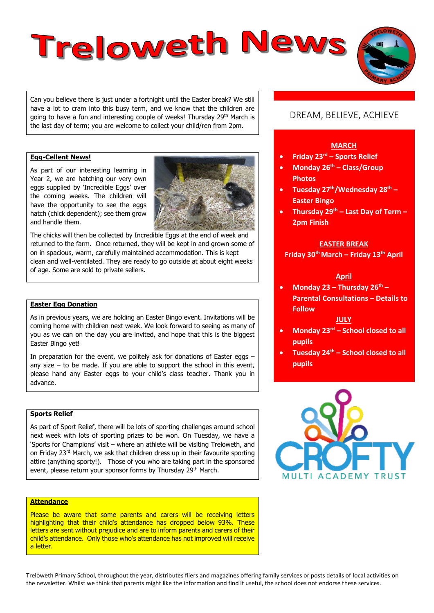# Treloweth News

Can you believe there is just under a fortnight until the Easter break? We still have a lot to cram into this busy term, and we know that the children are going to have a fun and interesting couple of weeks! Thursday 29<sup>th</sup> March is the last day of term; you are welcome to collect your child/ren from 2pm.

# **Egg-Cellent News!**

As part of our interesting learning in Year 2, we are hatching our very own eggs supplied by 'Incredible Eggs' over the coming weeks. The children will have the opportunity to see the eggs hatch (chick dependent); see them grow and handle them.



The chicks will then be collected by Incredible Eggs at the end of week and returned to the farm. Once returned, they will be kept in and grown some of on in spacious, warm, carefully maintained accommodation. This is kept clean and well-ventilated. They are ready to go outside at about eight weeks of age. Some are sold to private sellers.

#### **Easter Egg Donation**

As in previous years, we are holding an Easter Bingo event. Invitations will be coming home with children next week. We look forward to seeing as many of you as we can on the day you are invited, and hope that this is the biggest Easter Bingo yet!

In preparation for the event, we politely ask for donations of Easter eggs  $$ any size  $-$  to be made. If you are able to support the school in this event, please hand any Easter eggs to your child's class teacher. Thank you in advance.

## **Sports Relief**

As part of Sport Relief, there will be lots of sporting challenges around school next week with lots of sporting prizes to be won. On Tuesday, we have a 'Sports for Champions' visit – where an athlete will be visiting Treloweth, and on Friday 23rd March, we ask that children dress up in their favourite sporting attire (anything sporty!). Those of you who are taking part in the sponsored event, please return your sponsor forms by Thursday 29<sup>th</sup> March.

#### **Attendance**

Please be aware that some parents and carers will be receiving letters highlighting that their child's attendance has dropped below 93%. These letters are sent without prejudice and are to inform parents and carers of their child's attendance. Only those who's attendance has not improved will receive a letter.

# DREAM, BELIEVE, ACHIEVE

#### **MARCH**

- **Friday 23rd – Sports Relief**
- **Monday 26th – Class/Group Photos**
- **Tuesday 27th/Wednesday 28th – Easter Bingo**
- **Thursday 29th – Last Day of Term – 2pm Finish**

# **EASTER BREAK**

**Friday 30th March – Friday 13th April**

#### **April**

 **Monday 23 – Thursday 26th – Parental Consultations – Details to Follow**

#### **JULY**

- **Monday 23rd – School closed to all pupils**
- **Tuesday 24th – School closed to all pupils**



Treloweth Primary School, throughout the year, distributes fliers and magazines offering family services or posts details of local activities on the newsletter. Whilst we think that parents might like the information and find it useful, the school does not endorse these services.